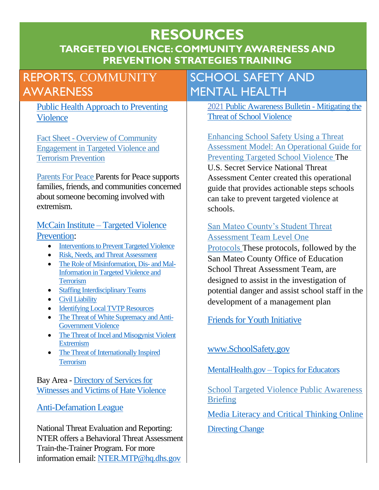## **RESOURCES TARGETED VIOLENCE: COMMUNITY AWARENESS AND PREVENTION STRATEGIES TRAINING**

# REPORTS, COMMUNITY AWARENESS

[Public Health Approach to Preventing](https://www.cdc.gov/violenceprevention/pdf/PH_App_Violence-a.pdf)  [Violence](https://www.cdc.gov/violenceprevention/pdf/PH_App_Violence-a.pdf) 

Fact Sheet - [Overview of Community](https://www.dhs.gov/sites/default/files/publications/community_engagement_overview_v4_0.pdf)  [Engagement in Targeted Violence and](https://www.dhs.gov/sites/default/files/publications/community_engagement_overview_v4_0.pdf)  [Terrorism Prevention](https://www.dhs.gov/sites/default/files/publications/community_engagement_overview_v4_0.pdf)

[Parents For Peace](https://www.parents4peace.org/) Parents for Peace supports families, friends, and communities concerned about someone becoming involved with extremism.

### McCain Institute – [Targeted Violence](https://www.mccaininstitute.org/programs/preventing-targeted-violence/)  [Prevention:](https://www.mccaininstitute.org/programs/preventing-targeted-violence/)

- [Interventions to Prevent Targeted Violence](https://www.mccaininstitute.org/wp-content/uploads/2021/10/practice-guide-1-staffing-and-rnta_v3.pdf)
- [Risk, Needs, and Threat Assessment](https://www.mccaininstitute.org/wp-content/uploads/2021/06/risks-needs-and-threat-assessment-read-ahead-materials.pdf)
- [The Role of Misinformation, Dis-](https://www.mccaininstitute.org/wp-content/uploads/2021/10/The-Role-of-Mis-Dis-and-Mal-Information-in-Targeted-Violence-and-Terr....pdf) and Mal-[Information in Targeted Violence and](https://www.mccaininstitute.org/wp-content/uploads/2021/10/The-Role-of-Mis-Dis-and-Mal-Information-in-Targeted-Violence-and-Terr....pdf)  **[Terrorism](https://www.mccaininstitute.org/wp-content/uploads/2021/10/The-Role-of-Mis-Dis-and-Mal-Information-in-Targeted-Violence-and-Terr....pdf)**
- [Staffing Interdisciplinary Teams](https://www.mccaininstitute.org/wp-content/uploads/2021/06/staffing-read-ahead-materials.pdf)
- [Civil Liability](https://www.mccaininstitute.org/wp-content/uploads/2021/06/civil-liability-reading-materials.pdf)
- [Identifying Local TVTP Resources](https://www.mccaininstitute.org/wp-content/uploads/2021/06/identifying-resources-reading-materials.pdf)
- [The Threat of White Supremacy and Anti-](https://www.mccaininstitute.org/wp-content/uploads/2021/10/white-supremacy-and-anti-government-groups-read-ahead-materials.pdf)[Government Violence](https://www.mccaininstitute.org/wp-content/uploads/2021/10/white-supremacy-and-anti-government-groups-read-ahead-materials.pdf)
- [The Threat of Incel and Misogynist](https://www.mccaininstitute.org/wp-content/uploads/2021/10/incel-and-misogynist-violent-extremism-read-ahead-materials-august-2.pdf) Violent [Extremism](https://www.mccaininstitute.org/wp-content/uploads/2021/10/incel-and-misogynist-violent-extremism-read-ahead-materials-august-2.pdf)
- [The Threat of Internationally Inspired](https://www.mccaininstitute.org/wp-content/uploads/2021/10/int.-inspired-terrorism_read-ahead-materials_september-2021.pdf)  **[Terrorism](https://www.mccaininstitute.org/wp-content/uploads/2021/10/int.-inspired-terrorism_read-ahead-materials_september-2021.pdf)**

Bay Area - [Directory of Services for](https://sf-hrc.org/sites/default/files/Documents/Policy_Division/Coalition_Against_Hate_Violence/directory_of_services_for_victims_of_hate_violence.pdf)  [Witnesses and Victims of Hate Violence](https://sf-hrc.org/sites/default/files/Documents/Policy_Division/Coalition_Against_Hate_Violence/directory_of_services_for_victims_of_hate_violence.pdf)

### [Anti-Defamation](https://www.adl.org/education-and-resources/resources-for-educators-parents-families/educational-programs-training) League

National Threat Evaluation and Reporting: NTER offers a Behavioral Threat Assessment Train-the-Trainer Program. For more information email: [NTER.MTP@hq.dhs.gov](mailto:NTER.MTP@hq.dhs.gov)

# SCHOOL SAFETY AND MENTAL HEALTH

2021 [Public Awareness Bulletin -](https://www.dhs.gov/sites/default/files/publications/school_targeted_violence_awareness_bulletin.pdf) Mitigating the [Threat of School Violence](https://www.dhs.gov/sites/default/files/publications/school_targeted_violence_awareness_bulletin.pdf)

[Enhancing School Safety Using a Threat](https://www.cisa.gov/publication/enhancing-school-safety-using-threat-assessment-model-operational-guide-preventing)  [Assessment Model: An Operational Guide for](https://www.cisa.gov/publication/enhancing-school-safety-using-threat-assessment-model-operational-guide-preventing)  [Preventing Targeted School Violence](https://www.cisa.gov/publication/enhancing-school-safety-using-threat-assessment-model-operational-guide-preventing) The U.S. Secret Service National Threat Assessment Center created this operational guide that provides actionable steps schools can take to prevent targeted violence at schools.

### [San Mateo County's Student Threat](https://www.smcoe.org/assets/files/For%20Schools_FIL/Safe%20and%20Supportive%20Schools_FIL/School%20Safety_FIL/Student_Threat_Assessment_Protocol%5b1%5d.pdf)  [Assessment Team Level One](https://www.smcoe.org/assets/files/For%20Schools_FIL/Safe%20and%20Supportive%20Schools_FIL/School%20Safety_FIL/Student_Threat_Assessment_Protocol%5b1%5d.pdf)

[Protocols](https://www.smcoe.org/assets/files/For%20Schools_FIL/Safe%20and%20Supportive%20Schools_FIL/School%20Safety_FIL/Student_Threat_Assessment_Protocol%5b1%5d.pdf) These protocols, followed by the San Mateo County Office of Education School Threat Assessment Team, are designed to assist in the investigation of potential danger and assist school staff in the development of a management plan

Friends for Youth Initiative

## [www.SchoolSafety.gov](http://www.schoolsafety.gov/)

MentalHealth.gov – [Topics for Educators](https://www.mentalhealth.gov/talk/educators)

[School Targeted Violence Public Awareness](https://www.dhs.gov/sites/default/files/publications/school_targeted_violence_awareness_bulletin.pdf)  [Briefing](https://www.dhs.gov/sites/default/files/publications/school_targeted_violence_awareness_bulletin.pdf)

[Media Literacy and Critical Thinking Online](https://content.govdelivery.com/attachments/USDHSFEMA/2021/03/15/file_attachments/1723216/media_literacy_and_critical_thinking_online_v2.pdf)

### [Directing Change](https://directingchangeca.org/)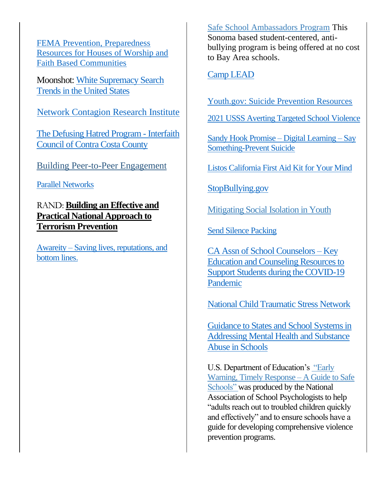[FEMA Prevention, Preparedness](https://www.fema.gov/emergency-managers/individuals-communities/faith-preparedness)  [Resources for Houses of Worship and](https://www.fema.gov/emergency-managers/individuals-communities/faith-preparedness)  [Faith Based Communities](https://www.fema.gov/emergency-managers/individuals-communities/faith-preparedness)

Moonshot: [White Supremacy Search](https://moonshotteam.com/white-supremacy-search-trends/)  [Trends in the United States](https://moonshotteam.com/white-supremacy-search-trends/)

[Network Contagion Research Institute](https://networkcontagion.us/)

[The Defusing Hatred Program -](https://www.interfaithccc.org/the-defusing-hatred-program/) Interfaith [Council of Contra Costa County](https://www.interfaithccc.org/the-defusing-hatred-program/)

[Building Peer-to-Peer Engagement](https://www.dhs.gov/sites/default/files/publications/building_peer-to-peer_engagements_29may2020_0.pdf)

[Parallel Networks](http://pnetworks.org/)

RAND: **[Building an Effective and](https://www.rand.org/content/dam/rand/pubs/research_briefs/RB10000/RB10030/RAND_RB10030.pdf)  [Practical National Approach to](https://www.rand.org/content/dam/rand/pubs/research_briefs/RB10000/RB10030/RAND_RB10030.pdf)  [Terrorism Prevention](https://www.rand.org/content/dam/rand/pubs/research_briefs/RB10000/RB10030/RAND_RB10030.pdf)**

Awareity – [Saving lives, reputations, and](https://awareity.com/)  [bottom lines.](https://awareity.com/)

[Safe School Ambassadors Program](https://community-matters.org/programs-services/youth-empowerment-programs/safe-school-ambassadors/) This Sonoma based student-centered, antibullying program is being offered at no cost to Bay Area schools.

[Camp LEAD](https://www.realmattersinc.com/)

[Youth.gov: Suicide Prevention Resources](https://youth.gov/youth-topics/youth-suicide-prevention/preventing-youth-suicide)

[2021 USSS Averting Targeted School Violence](https://www.secretservice.gov/sites/default/files/reports/2021-03/USSS%20Averting%20Targeted%20School%20Violence.2021.03.pdf)

[Sandy Hook Promise –](https://www.sandyhookpromiselearning.org/) Digital Learning – Say [Something-Prevent Suicide](https://www.sandyhookpromiselearning.org/)

[Listos California First Aid Kit for](https://www.listoscalifornia.org/wp-content/uploads/2021/07/First-Aid-Kit-for-Your-Mind-English.pdf) Your Mind

[StopBullying.gov](https://www.stopbullying.gov/)

[Mitigating Social Isolation in Youth](https://www.dhs.gov/sites/default/files/publications/mitigating_social_isolation_in_youth_v_2020-1020_v2.pdf)

[Send Silence Packing](https://www.activeminds.org/programs/send-silence-packing/)

[CA Assn of School Counselors –](https://covid19k12counseling.org/) Key [Education and Counseling Resources to](https://covid19k12counseling.org/)  [Support Students during the COVID-19](https://covid19k12counseling.org/)  [Pandemic](https://covid19k12counseling.org/)

[National Child Traumatic Stress Network](https://www.nctsn.org/)

[Guidance to States and School Systems in](https://store.samhsa.gov/product/guidance-states-and-school-systems-addressing-mental-health-and-substance-use-issues)  [Addressing Mental Health and Substance](https://store.samhsa.gov/product/guidance-states-and-school-systems-addressing-mental-health-and-substance-use-issues)  [Abuse in Schools](https://store.samhsa.gov/product/guidance-states-and-school-systems-addressing-mental-health-and-substance-use-issues)

U.S. Department of Education's ["Early](https://www.ojp.gov/pdffiles1/172854.pdf)  [Warning, Timely Response –](https://www.ojp.gov/pdffiles1/172854.pdf) A Guide to Safe [Schools"](https://www.ojp.gov/pdffiles1/172854.pdf) was produced by the National Association of School Psychologists to help "adults reach out to troubled children quickly and effectively" and to ensure schools have a guide for developing comprehensive violence prevention programs.